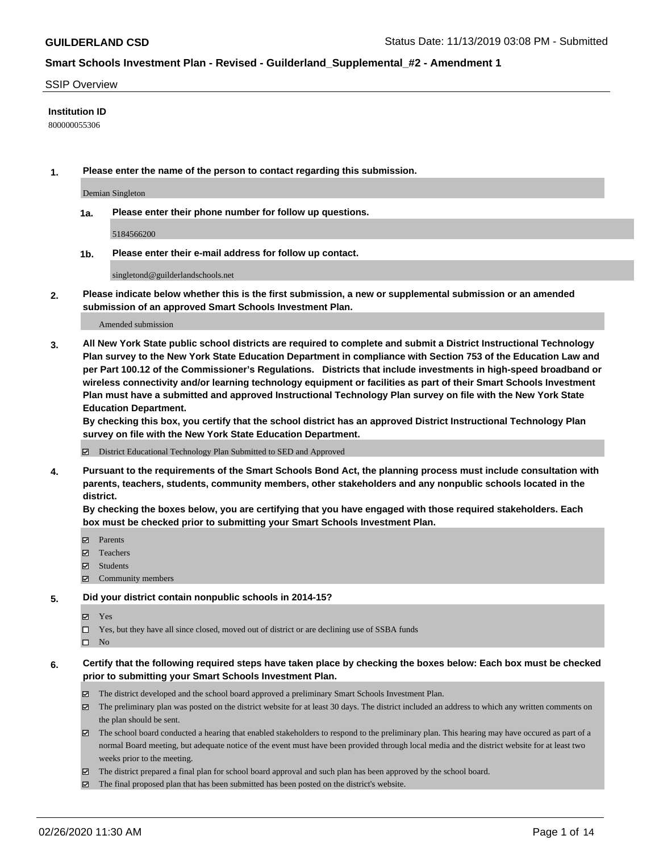#### SSIP Overview

#### **Institution ID**

800000055306

**1. Please enter the name of the person to contact regarding this submission.**

Demian Singleton

**1a. Please enter their phone number for follow up questions.**

5184566200

**1b. Please enter their e-mail address for follow up contact.**

singletond@guilderlandschools.net

**2. Please indicate below whether this is the first submission, a new or supplemental submission or an amended submission of an approved Smart Schools Investment Plan.**

#### Amended submission

**3. All New York State public school districts are required to complete and submit a District Instructional Technology Plan survey to the New York State Education Department in compliance with Section 753 of the Education Law and per Part 100.12 of the Commissioner's Regulations. Districts that include investments in high-speed broadband or wireless connectivity and/or learning technology equipment or facilities as part of their Smart Schools Investment Plan must have a submitted and approved Instructional Technology Plan survey on file with the New York State Education Department.** 

**By checking this box, you certify that the school district has an approved District Instructional Technology Plan survey on file with the New York State Education Department.**

District Educational Technology Plan Submitted to SED and Approved

**4. Pursuant to the requirements of the Smart Schools Bond Act, the planning process must include consultation with parents, teachers, students, community members, other stakeholders and any nonpublic schools located in the district.** 

**By checking the boxes below, you are certifying that you have engaged with those required stakeholders. Each box must be checked prior to submitting your Smart Schools Investment Plan.**

- Parents
- Teachers
- Students
- $\Xi$  Community members

#### **5. Did your district contain nonpublic schools in 2014-15?**

**冈** Yes

Yes, but they have all since closed, moved out of district or are declining use of SSBA funds

 $\square$  No

- **6. Certify that the following required steps have taken place by checking the boxes below: Each box must be checked prior to submitting your Smart Schools Investment Plan.**
	- The district developed and the school board approved a preliminary Smart Schools Investment Plan.
	- $\boxtimes$  The preliminary plan was posted on the district website for at least 30 days. The district included an address to which any written comments on the plan should be sent.
	- $\boxtimes$  The school board conducted a hearing that enabled stakeholders to respond to the preliminary plan. This hearing may have occured as part of a normal Board meeting, but adequate notice of the event must have been provided through local media and the district website for at least two weeks prior to the meeting.
	- The district prepared a final plan for school board approval and such plan has been approved by the school board.
	- The final proposed plan that has been submitted has been posted on the district's website.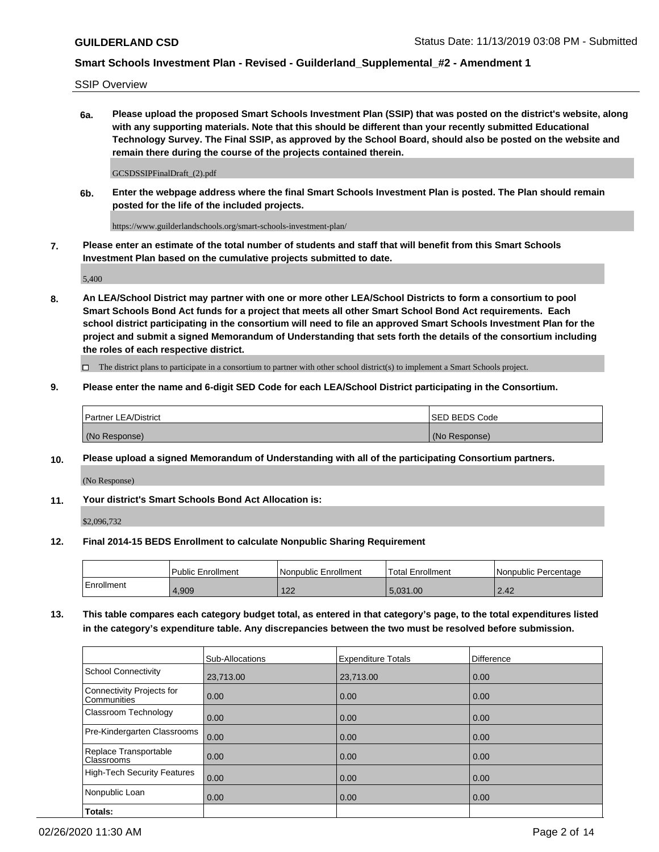SSIP Overview

**6a. Please upload the proposed Smart Schools Investment Plan (SSIP) that was posted on the district's website, along with any supporting materials. Note that this should be different than your recently submitted Educational Technology Survey. The Final SSIP, as approved by the School Board, should also be posted on the website and remain there during the course of the projects contained therein.**

GCSDSSIPFinalDraft\_(2).pdf

**6b. Enter the webpage address where the final Smart Schools Investment Plan is posted. The Plan should remain posted for the life of the included projects.**

https://www.guilderlandschools.org/smart-schools-investment-plan/

**7. Please enter an estimate of the total number of students and staff that will benefit from this Smart Schools Investment Plan based on the cumulative projects submitted to date.**

5,400

**8. An LEA/School District may partner with one or more other LEA/School Districts to form a consortium to pool Smart Schools Bond Act funds for a project that meets all other Smart School Bond Act requirements. Each school district participating in the consortium will need to file an approved Smart Schools Investment Plan for the project and submit a signed Memorandum of Understanding that sets forth the details of the consortium including the roles of each respective district.**

 $\Box$  The district plans to participate in a consortium to partner with other school district(s) to implement a Smart Schools project.

#### **9. Please enter the name and 6-digit SED Code for each LEA/School District participating in the Consortium.**

| Partner LEA/District | <b>ISED BEDS Code</b> |
|----------------------|-----------------------|
| (No Response)        | (No Response)         |

### **10. Please upload a signed Memorandum of Understanding with all of the participating Consortium partners.**

(No Response)

### **11. Your district's Smart Schools Bond Act Allocation is:**

\$2,096,732

#### **12. Final 2014-15 BEDS Enrollment to calculate Nonpublic Sharing Requirement**

|            | Public Enrollment | Nonpublic Enrollment | Total Enrollment | l Nonpublic Percentage |
|------------|-------------------|----------------------|------------------|------------------------|
| Enrollment | 1.909             | 100<br>144           | 5.031.00         | 2.42                   |

**13. This table compares each category budget total, as entered in that category's page, to the total expenditures listed in the category's expenditure table. Any discrepancies between the two must be resolved before submission.**

|                                          | Sub-Allocations | <b>Expenditure Totals</b> | <b>Difference</b> |
|------------------------------------------|-----------------|---------------------------|-------------------|
| <b>School Connectivity</b>               | 23,713.00       | 23,713.00                 | 0.00              |
| Connectivity Projects for<br>Communities | 0.00            | 0.00                      | 0.00              |
| Classroom Technology                     | 0.00            | 0.00                      | 0.00              |
| Pre-Kindergarten Classrooms              | 0.00            | 0.00                      | 0.00              |
| Replace Transportable<br>Classrooms      | 0.00            | 0.00                      | 0.00              |
| <b>High-Tech Security Features</b>       | 0.00            | 0.00                      | 0.00              |
| Nonpublic Loan                           | 0.00            | 0.00                      | 0.00              |
| Totals:                                  |                 |                           |                   |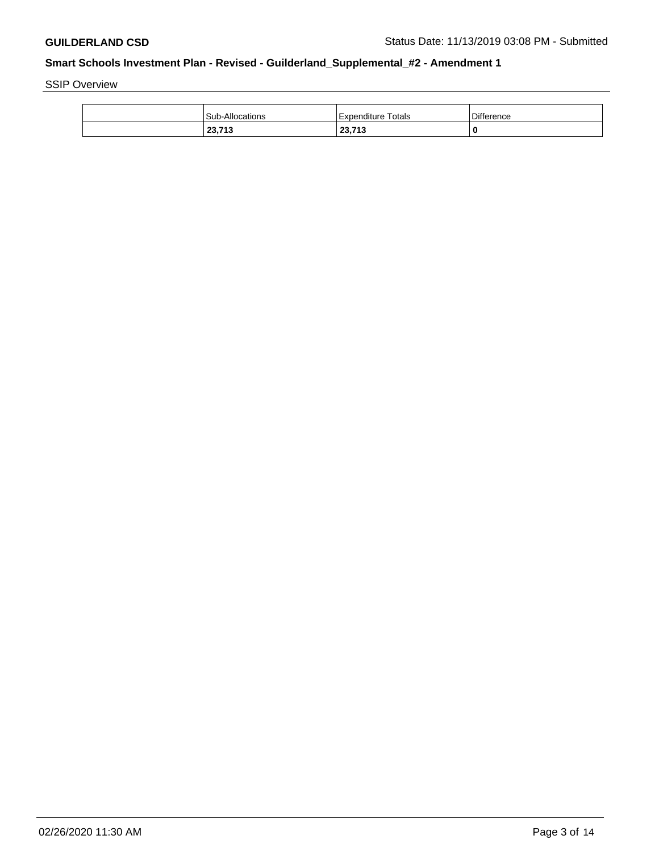SSIP Overview

| Sub-Allocations | Expenditure Totals        | <b>Difference</b> |
|-----------------|---------------------------|-------------------|
| 22.742<br>23.TB | <b>22.742</b><br>20,1 I J |                   |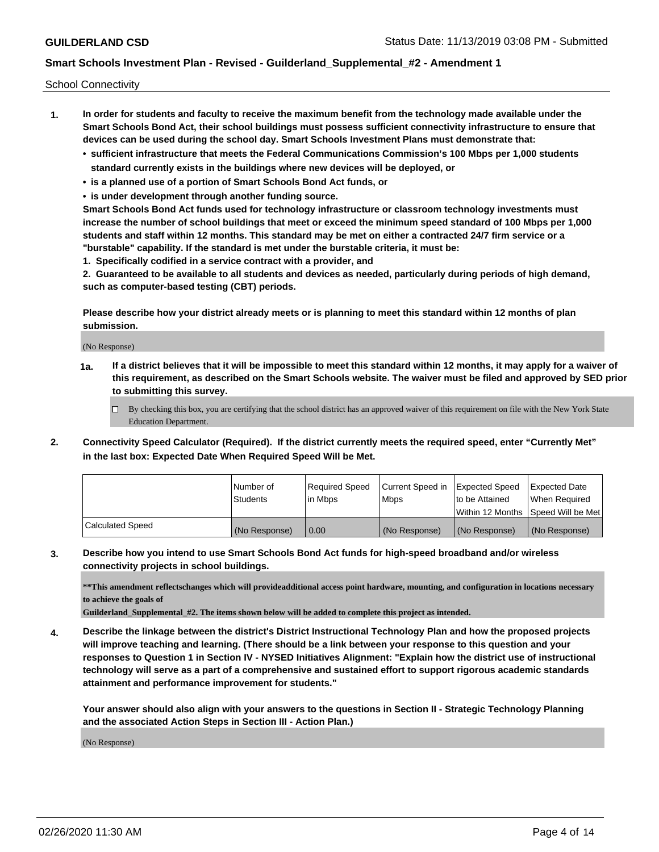School Connectivity

- **1. In order for students and faculty to receive the maximum benefit from the technology made available under the Smart Schools Bond Act, their school buildings must possess sufficient connectivity infrastructure to ensure that devices can be used during the school day. Smart Schools Investment Plans must demonstrate that:**
	- **• sufficient infrastructure that meets the Federal Communications Commission's 100 Mbps per 1,000 students standard currently exists in the buildings where new devices will be deployed, or**
	- **• is a planned use of a portion of Smart Schools Bond Act funds, or**
	- **• is under development through another funding source.**

**Smart Schools Bond Act funds used for technology infrastructure or classroom technology investments must increase the number of school buildings that meet or exceed the minimum speed standard of 100 Mbps per 1,000 students and staff within 12 months. This standard may be met on either a contracted 24/7 firm service or a "burstable" capability. If the standard is met under the burstable criteria, it must be:**

**1. Specifically codified in a service contract with a provider, and**

**2. Guaranteed to be available to all students and devices as needed, particularly during periods of high demand, such as computer-based testing (CBT) periods.**

**Please describe how your district already meets or is planning to meet this standard within 12 months of plan submission.**

(No Response)

**1a. If a district believes that it will be impossible to meet this standard within 12 months, it may apply for a waiver of this requirement, as described on the Smart Schools website. The waiver must be filed and approved by SED prior to submitting this survey.**

 $\Box$  By checking this box, you are certifying that the school district has an approved waiver of this requirement on file with the New York State Education Department.

**2. Connectivity Speed Calculator (Required). If the district currently meets the required speed, enter "Currently Met" in the last box: Expected Date When Required Speed Will be Met.**

|                  | Number of     | Required Speed | Current Speed in | Expected Speed  | Expected Date                        |
|------------------|---------------|----------------|------------------|-----------------|--------------------------------------|
|                  | Students      | lin Mbps       | <b>Mbps</b>      | Ito be Attained | When Required                        |
|                  |               |                |                  |                 | Within 12 Months   Speed Will be Met |
| Calculated Speed | (No Response) | 0.00           | (No Response)    | (No Response)   | (No Response)                        |

**3. Describe how you intend to use Smart Schools Bond Act funds for high-speed broadband and/or wireless connectivity projects in school buildings.**

**\*\*This amendment reflectschanges which will provideadditional access point hardware, mounting, and configuration in locations necessary to achieve the goals of**

**Guilderland\_Supplemental\_#2. The items shown below will be added to complete this project as intended.**

**4. Describe the linkage between the district's District Instructional Technology Plan and how the proposed projects will improve teaching and learning. (There should be a link between your response to this question and your responses to Question 1 in Section IV - NYSED Initiatives Alignment: "Explain how the district use of instructional technology will serve as a part of a comprehensive and sustained effort to support rigorous academic standards attainment and performance improvement for students."** 

**Your answer should also align with your answers to the questions in Section II - Strategic Technology Planning and the associated Action Steps in Section III - Action Plan.)**

(No Response)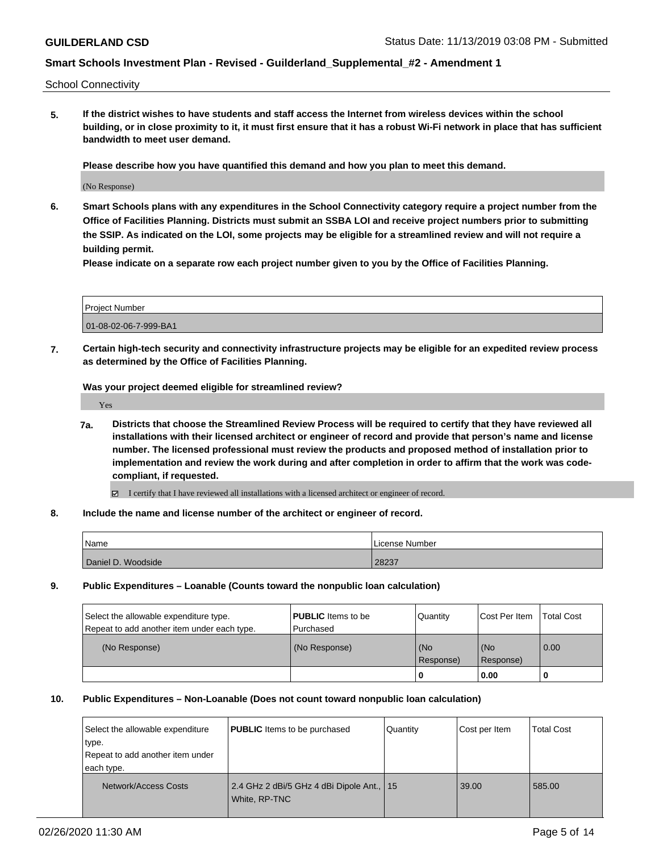School Connectivity

**5. If the district wishes to have students and staff access the Internet from wireless devices within the school building, or in close proximity to it, it must first ensure that it has a robust Wi-Fi network in place that has sufficient bandwidth to meet user demand.**

**Please describe how you have quantified this demand and how you plan to meet this demand.**

(No Response)

**6. Smart Schools plans with any expenditures in the School Connectivity category require a project number from the Office of Facilities Planning. Districts must submit an SSBA LOI and receive project numbers prior to submitting the SSIP. As indicated on the LOI, some projects may be eligible for a streamlined review and will not require a building permit.**

**Please indicate on a separate row each project number given to you by the Office of Facilities Planning.**

| Project Number        |  |
|-----------------------|--|
| 01-08-02-06-7-999-BA1 |  |

**7. Certain high-tech security and connectivity infrastructure projects may be eligible for an expedited review process as determined by the Office of Facilities Planning.**

**Was your project deemed eligible for streamlined review?**

Yes

- **7a. Districts that choose the Streamlined Review Process will be required to certify that they have reviewed all installations with their licensed architect or engineer of record and provide that person's name and license number. The licensed professional must review the products and proposed method of installation prior to implementation and review the work during and after completion in order to affirm that the work was codecompliant, if requested.**
	- I certify that I have reviewed all installations with a licensed architect or engineer of record.
- **8. Include the name and license number of the architect or engineer of record.**

| Name               | License Number |
|--------------------|----------------|
| Daniel D. Woodside | 28237          |

**9. Public Expenditures – Loanable (Counts toward the nonpublic loan calculation)**

| Select the allowable expenditure type.      | <b>PUBLIC</b> Items to be | Quantity         | Cost Per Item    | <b>Total Cost</b> |
|---------------------------------------------|---------------------------|------------------|------------------|-------------------|
| Repeat to add another item under each type. | Purchased                 |                  |                  |                   |
| (No Response)                               | (No Response)             | (No<br>Response) | (No<br>Response) | 0.00              |
|                                             |                           |                  | 0.00             |                   |

#### **10. Public Expenditures – Non-Loanable (Does not count toward nonpublic loan calculation)**

| Select the allowable expenditure<br>type.<br>Repeat to add another item under<br>each type. | <b>PUBLIC</b> Items to be purchased                          | Quantity | Cost per Item | <b>Total Cost</b> |
|---------------------------------------------------------------------------------------------|--------------------------------------------------------------|----------|---------------|-------------------|
| Network/Access Costs                                                                        | 2.4 GHz 2 dBi/5 GHz 4 dBi Dipole Ant.,   15<br>White, RP-TNC |          | 39.00         | 585.00            |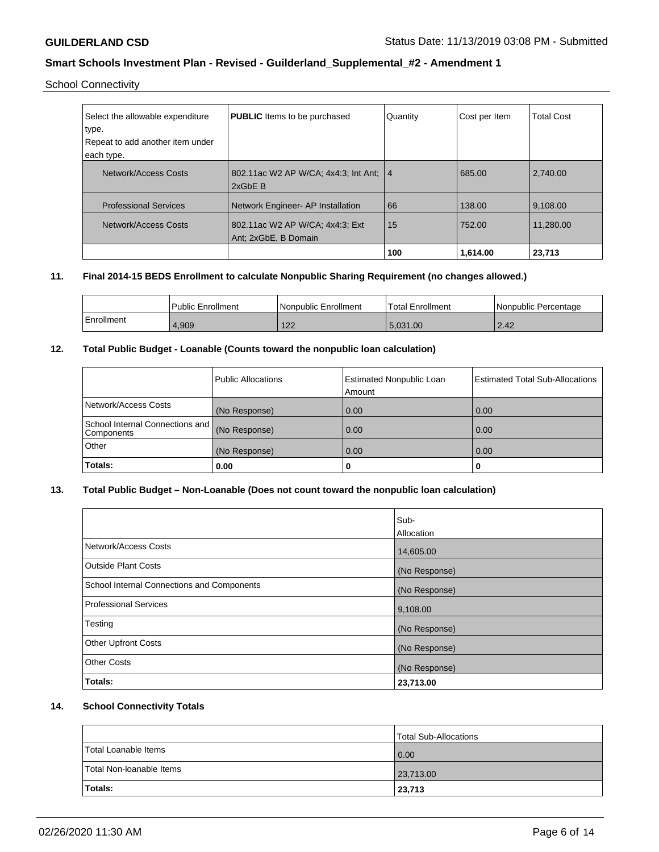### School Connectivity

| Select the allowable expenditure<br>type.<br>Repeat to add another item under<br>each type. | <b>PUBLIC</b> Items to be purchased                     | Quantity       | Cost per Item | <b>Total Cost</b> |
|---------------------------------------------------------------------------------------------|---------------------------------------------------------|----------------|---------------|-------------------|
| Network/Access Costs                                                                        | 802.11ac W2 AP W/CA: 4x4:3; Int Ant:<br>2xGbE B         | $\overline{4}$ | 685.00        | 2,740.00          |
| <b>Professional Services</b>                                                                | Network Engineer- AP Installation                       | 66             | 138.00        | 9,108.00          |
| Network/Access Costs                                                                        | 802.11ac W2 AP W/CA; 4x4:3; Ext<br>Ant: 2xGbE, B Domain | 15             | 752.00        | 11.280.00         |
|                                                                                             |                                                         | 100            | 1,614.00      | 23,713            |

### **11. Final 2014-15 BEDS Enrollment to calculate Nonpublic Sharing Requirement (no changes allowed.)**

|            | <b>Public Enrollment</b> | l Nonpublic Enrollment | <b>Total Enrollment</b> | l Nonpublic Percentage |
|------------|--------------------------|------------------------|-------------------------|------------------------|
| Enrollment | 4.909                    | 10 <sup>o</sup><br>▗▃▁ | 5.031.00                | 2.42                   |

## **12. Total Public Budget - Loanable (Counts toward the nonpublic loan calculation)**

|                                               | Public Allocations | <b>Estimated Nonpublic Loan</b><br>Amount | <b>Estimated Total Sub-Allocations</b> |
|-----------------------------------------------|--------------------|-------------------------------------------|----------------------------------------|
| Network/Access Costs                          | (No Response)      | 0.00                                      | 0.00                                   |
| School Internal Connections and<br>Components | (No Response)      | 0.00                                      | 0.00                                   |
| Other                                         | (No Response)      | 0.00                                      | 0.00                                   |
| Totals:                                       | 0.00               | 0                                         |                                        |

## **13. Total Public Budget – Non-Loanable (Does not count toward the nonpublic loan calculation)**

|                                                   | Sub-          |
|---------------------------------------------------|---------------|
|                                                   | Allocation    |
| Network/Access Costs                              | 14,605.00     |
| Outside Plant Costs                               | (No Response) |
| <b>School Internal Connections and Components</b> | (No Response) |
| <b>Professional Services</b>                      | 9,108.00      |
| Testing                                           | (No Response) |
| <b>Other Upfront Costs</b>                        | (No Response) |
| <b>Other Costs</b>                                | (No Response) |
| Totals:                                           | 23,713.00     |

### **14. School Connectivity Totals**

|                          | <b>Total Sub-Allocations</b> |
|--------------------------|------------------------------|
| Total Loanable Items     | 0.00                         |
| Total Non-Ioanable Items | 23,713.00                    |
| <b>Totals:</b>           | 23,713                       |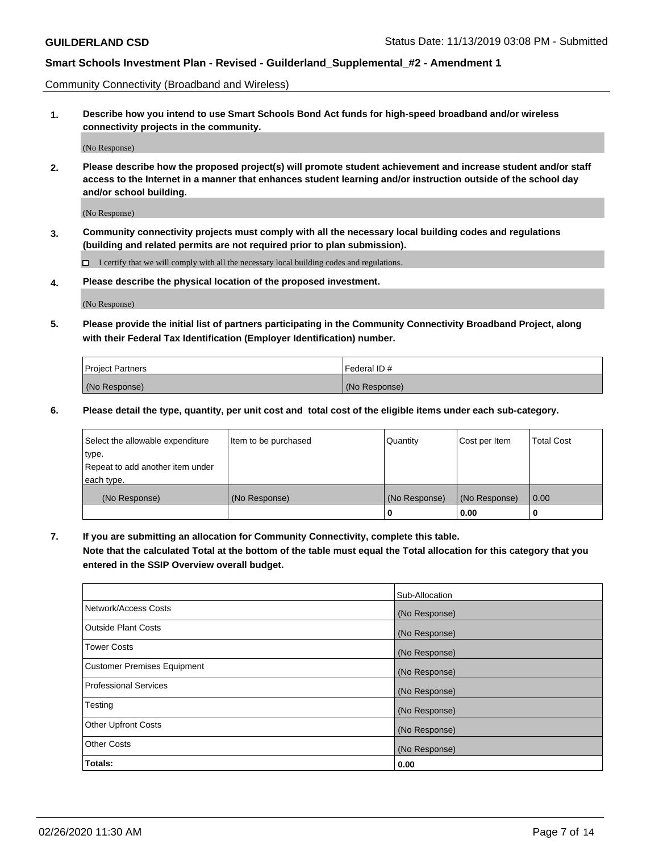Community Connectivity (Broadband and Wireless)

**1. Describe how you intend to use Smart Schools Bond Act funds for high-speed broadband and/or wireless connectivity projects in the community.**

(No Response)

**2. Please describe how the proposed project(s) will promote student achievement and increase student and/or staff access to the Internet in a manner that enhances student learning and/or instruction outside of the school day and/or school building.**

(No Response)

**3. Community connectivity projects must comply with all the necessary local building codes and regulations (building and related permits are not required prior to plan submission).**

 $\Box$  I certify that we will comply with all the necessary local building codes and regulations.

**4. Please describe the physical location of the proposed investment.**

(No Response)

**5. Please provide the initial list of partners participating in the Community Connectivity Broadband Project, along with their Federal Tax Identification (Employer Identification) number.**

| <b>Project Partners</b> | l Federal ID # |
|-------------------------|----------------|
| (No Response)           | (No Response)  |

**6. Please detail the type, quantity, per unit cost and total cost of the eligible items under each sub-category.**

| Select the allowable expenditure | Item to be purchased | Quantity      | Cost per Item | <b>Total Cost</b> |
|----------------------------------|----------------------|---------------|---------------|-------------------|
| type.                            |                      |               |               |                   |
| Repeat to add another item under |                      |               |               |                   |
| each type.                       |                      |               |               |                   |
| (No Response)                    | (No Response)        | (No Response) | (No Response) | 0.00              |
|                                  |                      | U             | 0.00          |                   |

**7. If you are submitting an allocation for Community Connectivity, complete this table.**

**Note that the calculated Total at the bottom of the table must equal the Total allocation for this category that you entered in the SSIP Overview overall budget.**

|                                    | Sub-Allocation |
|------------------------------------|----------------|
| Network/Access Costs               | (No Response)  |
| Outside Plant Costs                | (No Response)  |
| <b>Tower Costs</b>                 | (No Response)  |
| <b>Customer Premises Equipment</b> | (No Response)  |
| <b>Professional Services</b>       | (No Response)  |
| Testing                            | (No Response)  |
| <b>Other Upfront Costs</b>         | (No Response)  |
| <b>Other Costs</b>                 | (No Response)  |
| Totals:                            | 0.00           |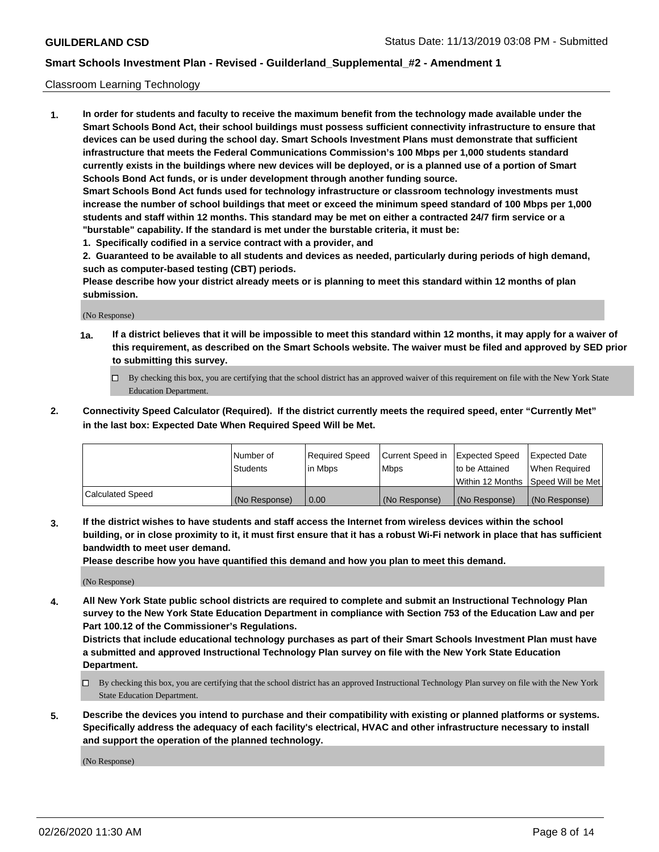#### Classroom Learning Technology

**1. In order for students and faculty to receive the maximum benefit from the technology made available under the Smart Schools Bond Act, their school buildings must possess sufficient connectivity infrastructure to ensure that devices can be used during the school day. Smart Schools Investment Plans must demonstrate that sufficient infrastructure that meets the Federal Communications Commission's 100 Mbps per 1,000 students standard currently exists in the buildings where new devices will be deployed, or is a planned use of a portion of Smart Schools Bond Act funds, or is under development through another funding source. Smart Schools Bond Act funds used for technology infrastructure or classroom technology investments must increase the number of school buildings that meet or exceed the minimum speed standard of 100 Mbps per 1,000 students and staff within 12 months. This standard may be met on either a contracted 24/7 firm service or a "burstable" capability. If the standard is met under the burstable criteria, it must be:**

**1. Specifically codified in a service contract with a provider, and**

**2. Guaranteed to be available to all students and devices as needed, particularly during periods of high demand, such as computer-based testing (CBT) periods.**

**Please describe how your district already meets or is planning to meet this standard within 12 months of plan submission.**

(No Response)

- **1a. If a district believes that it will be impossible to meet this standard within 12 months, it may apply for a waiver of this requirement, as described on the Smart Schools website. The waiver must be filed and approved by SED prior to submitting this survey.**
	- By checking this box, you are certifying that the school district has an approved waiver of this requirement on file with the New York State Education Department.
- **2. Connectivity Speed Calculator (Required). If the district currently meets the required speed, enter "Currently Met" in the last box: Expected Date When Required Speed Will be Met.**

|                  | l Number of     | Required Speed | Current Speed in | <b>Expected Speed</b> | <b>Expected Date</b>                |
|------------------|-----------------|----------------|------------------|-----------------------|-------------------------------------|
|                  | <b>Students</b> | l in Mbps      | l Mbps           | to be Attained        | When Required                       |
|                  |                 |                |                  |                       | Within 12 Months  Speed Will be Met |
| Calculated Speed | (No Response)   | 0.00           | (No Response)    | l (No Response)       | (No Response)                       |

**3. If the district wishes to have students and staff access the Internet from wireless devices within the school building, or in close proximity to it, it must first ensure that it has a robust Wi-Fi network in place that has sufficient bandwidth to meet user demand.**

**Please describe how you have quantified this demand and how you plan to meet this demand.**

(No Response)

**4. All New York State public school districts are required to complete and submit an Instructional Technology Plan survey to the New York State Education Department in compliance with Section 753 of the Education Law and per Part 100.12 of the Commissioner's Regulations.**

**Districts that include educational technology purchases as part of their Smart Schools Investment Plan must have a submitted and approved Instructional Technology Plan survey on file with the New York State Education Department.**

- By checking this box, you are certifying that the school district has an approved Instructional Technology Plan survey on file with the New York State Education Department.
- **5. Describe the devices you intend to purchase and their compatibility with existing or planned platforms or systems. Specifically address the adequacy of each facility's electrical, HVAC and other infrastructure necessary to install and support the operation of the planned technology.**

(No Response)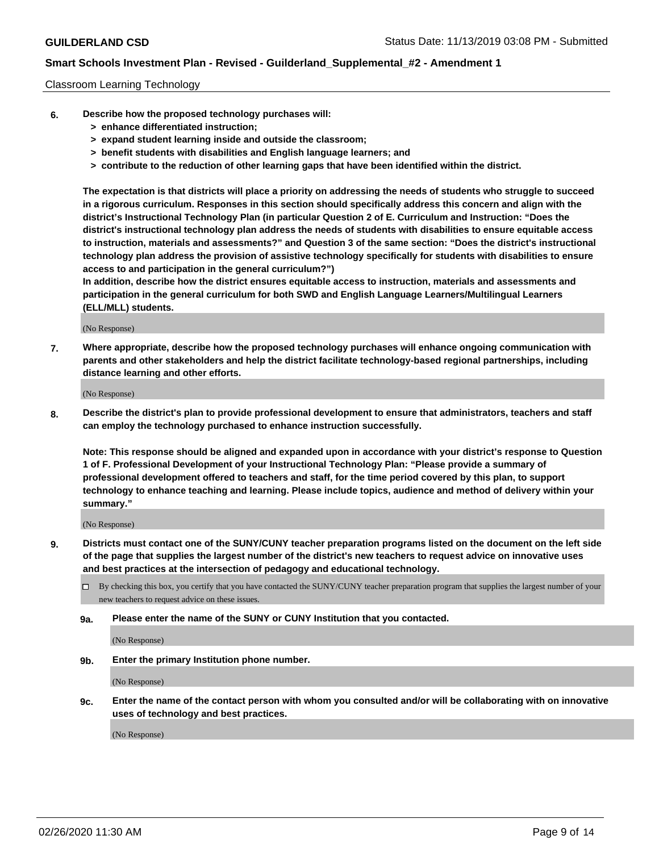#### Classroom Learning Technology

- **6. Describe how the proposed technology purchases will:**
	- **> enhance differentiated instruction;**
	- **> expand student learning inside and outside the classroom;**
	- **> benefit students with disabilities and English language learners; and**
	- **> contribute to the reduction of other learning gaps that have been identified within the district.**

**The expectation is that districts will place a priority on addressing the needs of students who struggle to succeed in a rigorous curriculum. Responses in this section should specifically address this concern and align with the district's Instructional Technology Plan (in particular Question 2 of E. Curriculum and Instruction: "Does the district's instructional technology plan address the needs of students with disabilities to ensure equitable access to instruction, materials and assessments?" and Question 3 of the same section: "Does the district's instructional technology plan address the provision of assistive technology specifically for students with disabilities to ensure access to and participation in the general curriculum?")**

**In addition, describe how the district ensures equitable access to instruction, materials and assessments and participation in the general curriculum for both SWD and English Language Learners/Multilingual Learners (ELL/MLL) students.**

(No Response)

**7. Where appropriate, describe how the proposed technology purchases will enhance ongoing communication with parents and other stakeholders and help the district facilitate technology-based regional partnerships, including distance learning and other efforts.**

(No Response)

**8. Describe the district's plan to provide professional development to ensure that administrators, teachers and staff can employ the technology purchased to enhance instruction successfully.**

**Note: This response should be aligned and expanded upon in accordance with your district's response to Question 1 of F. Professional Development of your Instructional Technology Plan: "Please provide a summary of professional development offered to teachers and staff, for the time period covered by this plan, to support technology to enhance teaching and learning. Please include topics, audience and method of delivery within your summary."**

(No Response)

- **9. Districts must contact one of the SUNY/CUNY teacher preparation programs listed on the document on the left side of the page that supplies the largest number of the district's new teachers to request advice on innovative uses and best practices at the intersection of pedagogy and educational technology.**
	- By checking this box, you certify that you have contacted the SUNY/CUNY teacher preparation program that supplies the largest number of your new teachers to request advice on these issues.
	- **9a. Please enter the name of the SUNY or CUNY Institution that you contacted.**

(No Response)

**9b. Enter the primary Institution phone number.**

(No Response)

**9c. Enter the name of the contact person with whom you consulted and/or will be collaborating with on innovative uses of technology and best practices.**

(No Response)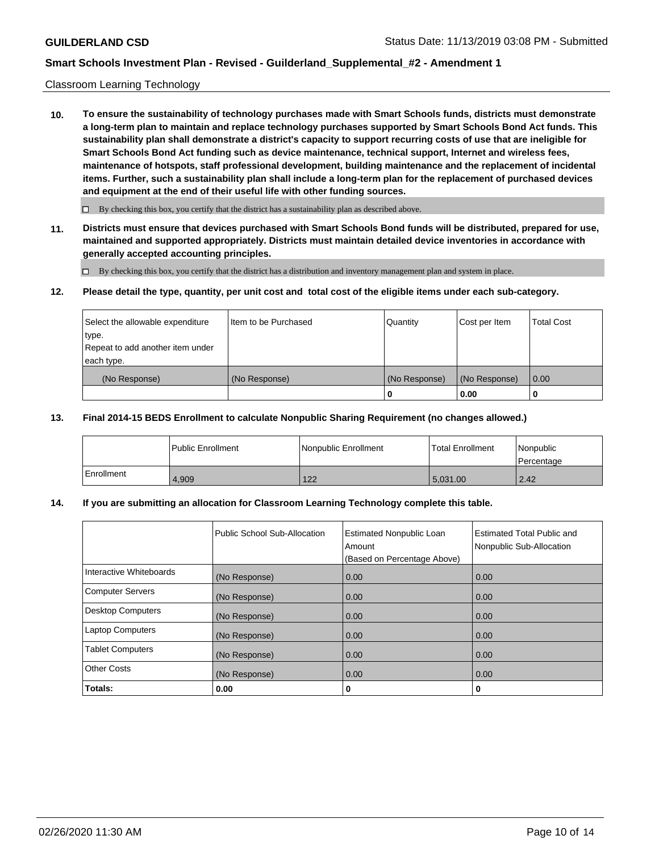#### Classroom Learning Technology

**10. To ensure the sustainability of technology purchases made with Smart Schools funds, districts must demonstrate a long-term plan to maintain and replace technology purchases supported by Smart Schools Bond Act funds. This sustainability plan shall demonstrate a district's capacity to support recurring costs of use that are ineligible for Smart Schools Bond Act funding such as device maintenance, technical support, Internet and wireless fees, maintenance of hotspots, staff professional development, building maintenance and the replacement of incidental items. Further, such a sustainability plan shall include a long-term plan for the replacement of purchased devices and equipment at the end of their useful life with other funding sources.**

 $\Box$  By checking this box, you certify that the district has a sustainability plan as described above.

**11. Districts must ensure that devices purchased with Smart Schools Bond funds will be distributed, prepared for use, maintained and supported appropriately. Districts must maintain detailed device inventories in accordance with generally accepted accounting principles.**

By checking this box, you certify that the district has a distribution and inventory management plan and system in place.

#### **12. Please detail the type, quantity, per unit cost and total cost of the eligible items under each sub-category.**

| Select the allowable expenditure<br>type.      | Item to be Purchased | Quantity      | Cost per Item | <b>Total Cost</b> |
|------------------------------------------------|----------------------|---------------|---------------|-------------------|
| Repeat to add another item under<br>each type. |                      |               |               |                   |
| (No Response)                                  | (No Response)        | (No Response) | (No Response) | 0.00              |
|                                                |                      |               | 0.00          |                   |

#### **13. Final 2014-15 BEDS Enrollment to calculate Nonpublic Sharing Requirement (no changes allowed.)**

|              | l Public Enrollment | Nonpublic Enrollment | <b>Total Enrollment</b> | Nonpublic<br>l Percentage |
|--------------|---------------------|----------------------|-------------------------|---------------------------|
| l Enrollment | 4.909               | 122                  | 5.031.00                | 2.42                      |

### **14. If you are submitting an allocation for Classroom Learning Technology complete this table.**

|                         | Public School Sub-Allocation | <b>Estimated Nonpublic Loan</b><br>Amount<br>(Based on Percentage Above) | Estimated Total Public and<br>Nonpublic Sub-Allocation |
|-------------------------|------------------------------|--------------------------------------------------------------------------|--------------------------------------------------------|
| Interactive Whiteboards | (No Response)                | 0.00                                                                     | 0.00                                                   |
| Computer Servers        | (No Response)                | 0.00                                                                     | 0.00                                                   |
| Desktop Computers       | (No Response)                | 0.00                                                                     | 0.00                                                   |
| <b>Laptop Computers</b> | (No Response)                | 0.00                                                                     | 0.00                                                   |
| <b>Tablet Computers</b> | (No Response)                | 0.00                                                                     | 0.00                                                   |
| <b>Other Costs</b>      | (No Response)                | 0.00                                                                     | 0.00                                                   |
| Totals:                 | 0.00                         | 0                                                                        | 0                                                      |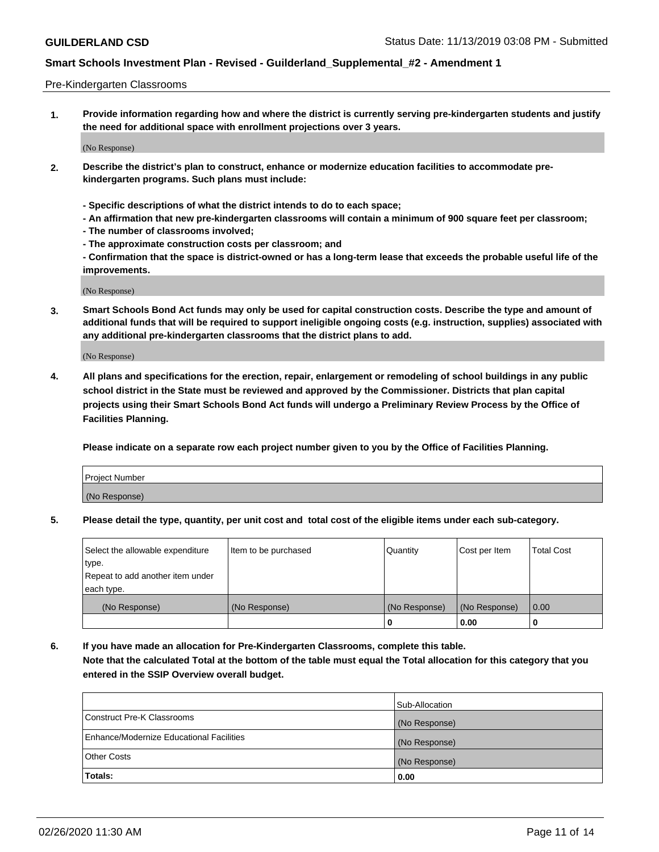#### Pre-Kindergarten Classrooms

**1. Provide information regarding how and where the district is currently serving pre-kindergarten students and justify the need for additional space with enrollment projections over 3 years.**

(No Response)

- **2. Describe the district's plan to construct, enhance or modernize education facilities to accommodate prekindergarten programs. Such plans must include:**
	- **Specific descriptions of what the district intends to do to each space;**
	- **An affirmation that new pre-kindergarten classrooms will contain a minimum of 900 square feet per classroom;**
	- **The number of classrooms involved;**
	- **The approximate construction costs per classroom; and**
	- **Confirmation that the space is district-owned or has a long-term lease that exceeds the probable useful life of the improvements.**

(No Response)

**3. Smart Schools Bond Act funds may only be used for capital construction costs. Describe the type and amount of additional funds that will be required to support ineligible ongoing costs (e.g. instruction, supplies) associated with any additional pre-kindergarten classrooms that the district plans to add.**

(No Response)

**4. All plans and specifications for the erection, repair, enlargement or remodeling of school buildings in any public school district in the State must be reviewed and approved by the Commissioner. Districts that plan capital projects using their Smart Schools Bond Act funds will undergo a Preliminary Review Process by the Office of Facilities Planning.**

**Please indicate on a separate row each project number given to you by the Office of Facilities Planning.**

| Project Number |  |
|----------------|--|
| (No Response)  |  |
|                |  |

**5. Please detail the type, quantity, per unit cost and total cost of the eligible items under each sub-category.**

| Select the allowable expenditure | Item to be purchased | Quantity      | Cost per Item | <b>Total Cost</b> |
|----------------------------------|----------------------|---------------|---------------|-------------------|
| type.                            |                      |               |               |                   |
| Repeat to add another item under |                      |               |               |                   |
| each type.                       |                      |               |               |                   |
| (No Response)                    | (No Response)        | (No Response) | (No Response) | 0.00              |
|                                  |                      | υ             | 0.00          |                   |

**6. If you have made an allocation for Pre-Kindergarten Classrooms, complete this table. Note that the calculated Total at the bottom of the table must equal the Total allocation for this category that you entered in the SSIP Overview overall budget.**

| Totals:                                  | 0.00           |
|------------------------------------------|----------------|
| <b>Other Costs</b>                       | (No Response)  |
| Enhance/Modernize Educational Facilities | (No Response)  |
| Construct Pre-K Classrooms               | (No Response)  |
|                                          | Sub-Allocation |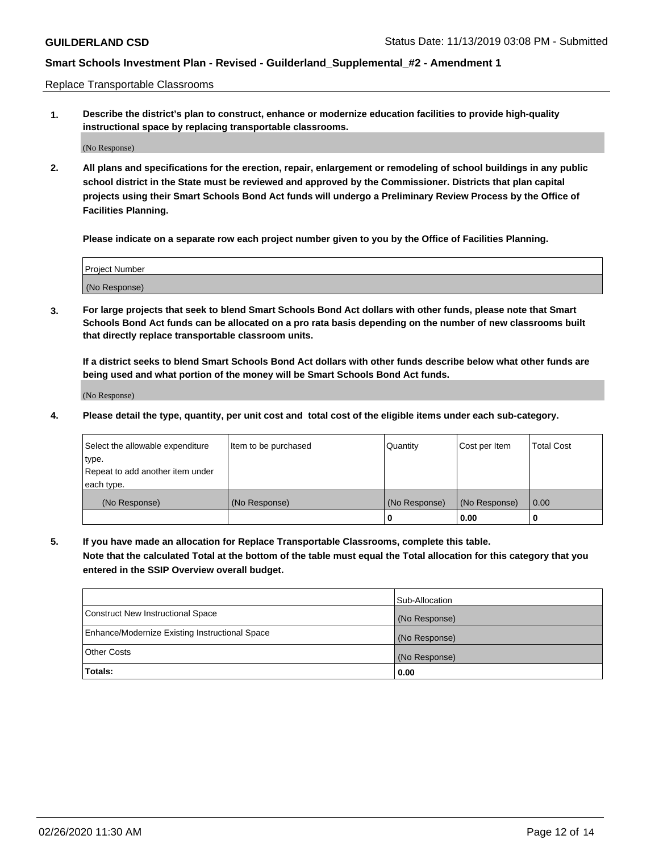Replace Transportable Classrooms

**1. Describe the district's plan to construct, enhance or modernize education facilities to provide high-quality instructional space by replacing transportable classrooms.**

(No Response)

**2. All plans and specifications for the erection, repair, enlargement or remodeling of school buildings in any public school district in the State must be reviewed and approved by the Commissioner. Districts that plan capital projects using their Smart Schools Bond Act funds will undergo a Preliminary Review Process by the Office of Facilities Planning.**

**Please indicate on a separate row each project number given to you by the Office of Facilities Planning.**

| Project Number |  |
|----------------|--|
|                |  |
| (No Response)  |  |

**3. For large projects that seek to blend Smart Schools Bond Act dollars with other funds, please note that Smart Schools Bond Act funds can be allocated on a pro rata basis depending on the number of new classrooms built that directly replace transportable classroom units.**

**If a district seeks to blend Smart Schools Bond Act dollars with other funds describe below what other funds are being used and what portion of the money will be Smart Schools Bond Act funds.**

(No Response)

**4. Please detail the type, quantity, per unit cost and total cost of the eligible items under each sub-category.**

| Select the allowable expenditure | Item to be purchased | Quantity      | Cost per Item | Total Cost |
|----------------------------------|----------------------|---------------|---------------|------------|
| ∣type.                           |                      |               |               |            |
| Repeat to add another item under |                      |               |               |            |
| each type.                       |                      |               |               |            |
| (No Response)                    | (No Response)        | (No Response) | (No Response) | 0.00       |
|                                  |                      | u             | 0.00          |            |

**5. If you have made an allocation for Replace Transportable Classrooms, complete this table. Note that the calculated Total at the bottom of the table must equal the Total allocation for this category that you entered in the SSIP Overview overall budget.**

|                                                | Sub-Allocation |
|------------------------------------------------|----------------|
| Construct New Instructional Space              | (No Response)  |
| Enhance/Modernize Existing Instructional Space | (No Response)  |
| Other Costs                                    | (No Response)  |
| Totals:                                        | 0.00           |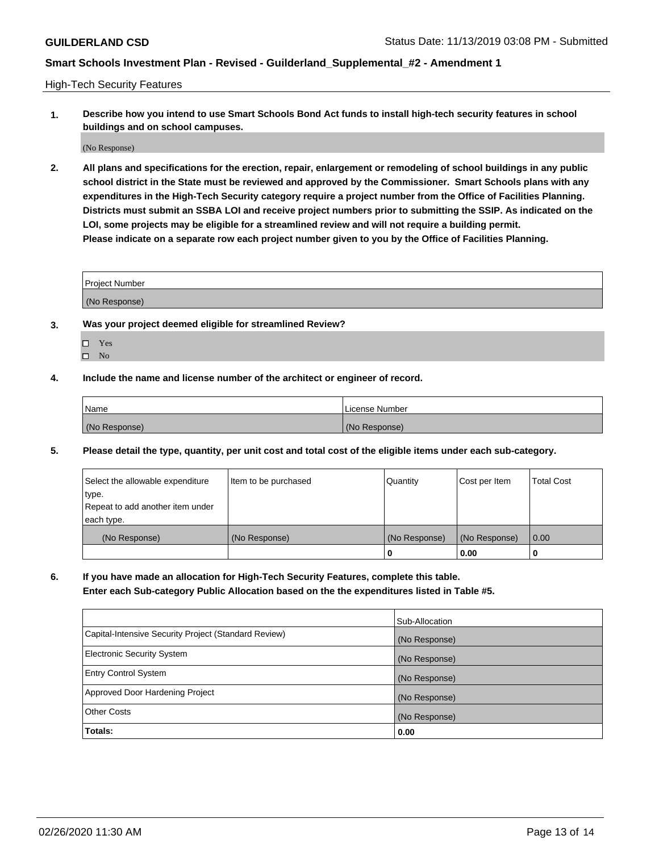High-Tech Security Features

**1. Describe how you intend to use Smart Schools Bond Act funds to install high-tech security features in school buildings and on school campuses.**

(No Response)

**2. All plans and specifications for the erection, repair, enlargement or remodeling of school buildings in any public school district in the State must be reviewed and approved by the Commissioner. Smart Schools plans with any expenditures in the High-Tech Security category require a project number from the Office of Facilities Planning. Districts must submit an SSBA LOI and receive project numbers prior to submitting the SSIP. As indicated on the LOI, some projects may be eligible for a streamlined review and will not require a building permit. Please indicate on a separate row each project number given to you by the Office of Facilities Planning.**

| <b>Project Number</b> |  |
|-----------------------|--|
| (No Response)         |  |

- **3. Was your project deemed eligible for streamlined Review?**
	- Yes
	- $\hfill \Box$  No
- **4. Include the name and license number of the architect or engineer of record.**

| Name          | License Number |
|---------------|----------------|
| (No Response) | (No Response)  |

**5. Please detail the type, quantity, per unit cost and total cost of the eligible items under each sub-category.**

| Select the allowable expenditure | Item to be purchased | Quantity      | Cost per Item | <b>Total Cost</b> |
|----------------------------------|----------------------|---------------|---------------|-------------------|
| type.                            |                      |               |               |                   |
| Repeat to add another item under |                      |               |               |                   |
| each type.                       |                      |               |               |                   |
| (No Response)                    | (No Response)        | (No Response) | (No Response) | 0.00              |
|                                  |                      | 0             | 0.00          |                   |

**6. If you have made an allocation for High-Tech Security Features, complete this table.**

**Enter each Sub-category Public Allocation based on the the expenditures listed in Table #5.**

|                                                      | Sub-Allocation |
|------------------------------------------------------|----------------|
| Capital-Intensive Security Project (Standard Review) | (No Response)  |
| <b>Electronic Security System</b>                    | (No Response)  |
| <b>Entry Control System</b>                          | (No Response)  |
| Approved Door Hardening Project                      | (No Response)  |
| <b>Other Costs</b>                                   | (No Response)  |
| Totals:                                              | 0.00           |